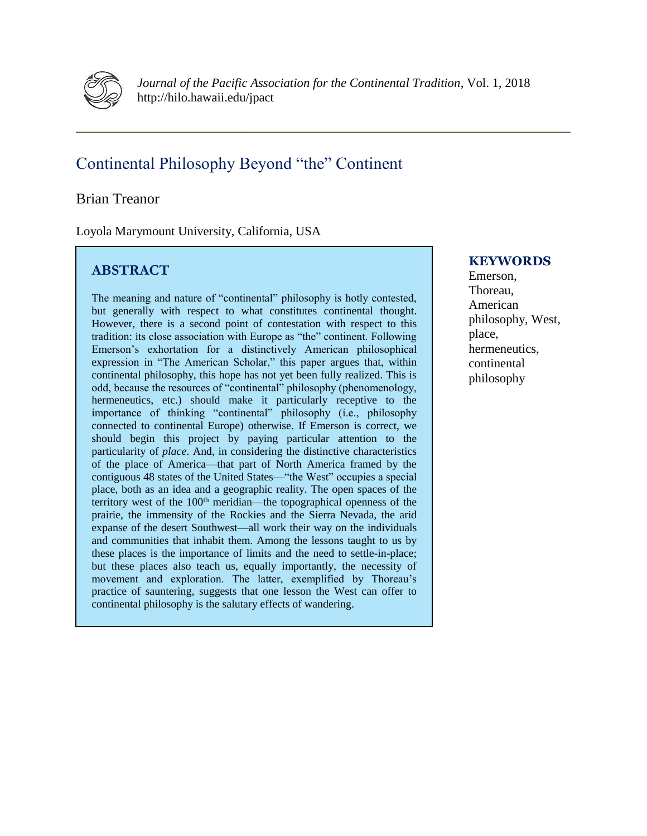

*Journal of the Pacific Association for the Continental Tradition*, Vol. 1, 2018 http://hilo.hawaii.edu/jpact

**\_\_\_\_\_\_\_\_\_\_\_\_\_\_\_\_\_\_\_\_\_\_\_\_\_\_\_\_\_\_\_\_\_\_\_\_\_\_\_\_\_\_\_\_\_\_\_\_\_\_\_\_\_\_\_\_\_\_\_\_\_\_\_\_\_\_\_\_\_\_\_\_\_\_\_\_\_\_**

# Continental Philosophy Beyond "the" Continent

# Brian Treanor

Loyola Marymount University, California, USA

# **ABSTRACT**

The meaning and nature of "continental" philosophy is hotly contested, but generally with respect to what constitutes continental thought. However, there is a second point of contestation with respect to this tradition: its close association with Europe as "the" continent. Following Emerson's exhortation for a distinctively American philosophical expression in "The American Scholar," this paper argues that, within continental philosophy, this hope has not yet been fully realized. This is odd, because the resources of "continental" philosophy (phenomenology, hermeneutics, etc.) should make it particularly receptive to the importance of thinking "continental" philosophy (i.e., philosophy connected to continental Europe) otherwise. If Emerson is correct, we should begin this project by paying particular attention to the particularity of *place*. And, in considering the distinctive characteristics of the place of America—that part of North America framed by the contiguous 48 states of the United States—"the West" occupies a special place, both as an idea and a geographic reality. The open spaces of the territory west of the 100<sup>th</sup> meridian—the topographical openness of the prairie, the immensity of the Rockies and the Sierra Nevada, the arid expanse of the desert Southwest—all work their way on the individuals and communities that inhabit them. Among the lessons taught to us by these places is the importance of limits and the need to settle-in-place; but these places also teach us, equally importantly, the necessity of movement and exploration. The latter, exemplified by Thoreau's practice of sauntering, suggests that one lesson the West can offer to continental philosophy is the salutary effects of wandering.

# **KEYWORDS**

Emerson, Thoreau, American philosophy, West, place, hermeneutics, continental philosophy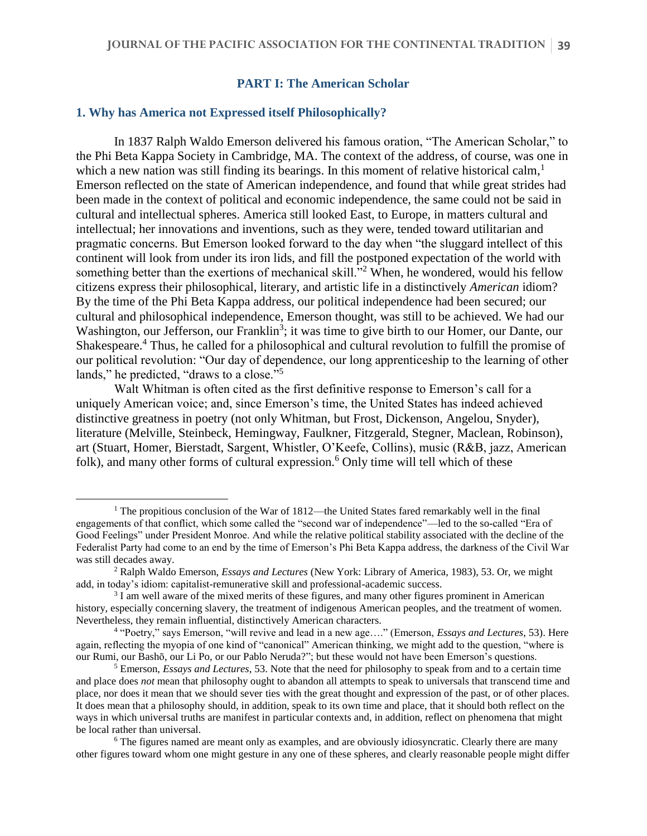#### **PART I: The American Scholar**

#### **1. Why has America not Expressed itself Philosophically?**

 $\overline{a}$ 

In 1837 Ralph Waldo Emerson delivered his famous oration, "The American Scholar," to the Phi Beta Kappa Society in Cambridge, MA. The context of the address, of course, was one in which a new nation was still finding its bearings. In this moment of relative historical calm,  $\frac{1}{2}$ Emerson reflected on the state of American independence, and found that while great strides had been made in the context of political and economic independence, the same could not be said in cultural and intellectual spheres. America still looked East, to Europe, in matters cultural and intellectual; her innovations and inventions, such as they were, tended toward utilitarian and pragmatic concerns. But Emerson looked forward to the day when "the sluggard intellect of this continent will look from under its iron lids, and fill the postponed expectation of the world with something better than the exertions of mechanical skill."<sup>2</sup> When, he wondered, would his fellow citizens express their philosophical, literary, and artistic life in a distinctively *American* idiom? By the time of the Phi Beta Kappa address, our political independence had been secured; our cultural and philosophical independence, Emerson thought, was still to be achieved. We had our Washington, our Jefferson, our Franklin<sup>3</sup>; it was time to give birth to our Homer, our Dante, our Shakespeare.<sup>4</sup> Thus, he called for a philosophical and cultural revolution to fulfill the promise of our political revolution: "Our day of dependence, our long apprenticeship to the learning of other lands," he predicted, "draws to a close."<sup>5</sup>

Walt Whitman is often cited as the first definitive response to Emerson's call for a uniquely American voice; and, since Emerson's time, the United States has indeed achieved distinctive greatness in poetry (not only Whitman, but Frost, Dickenson, Angelou, Snyder), literature (Melville, Steinbeck, Hemingway, Faulkner, Fitzgerald, Stegner, Maclean, Robinson), art (Stuart, Homer, Bierstadt, Sargent, Whistler, O'Keefe, Collins), music (R&B, jazz, American folk), and many other forms of cultural expression.<sup>6</sup> Only time will tell which of these

<sup>&</sup>lt;sup>1</sup> The propitious conclusion of the War of 1812—the United States fared remarkably well in the final engagements of that conflict, which some called the "second war of independence"—led to the so-called "Era of Good Feelings" under President Monroe. And while the relative political stability associated with the decline of the Federalist Party had come to an end by the time of Emerson's Phi Beta Kappa address, the darkness of the Civil War was still decades away.

<sup>2</sup> Ralph Waldo Emerson, *Essays and Lectures* (New York: Library of America, 1983), 53. Or, we might add, in today's idiom: capitalist-remunerative skill and professional-academic success.

<sup>&</sup>lt;sup>3</sup> I am well aware of the mixed merits of these figures, and many other figures prominent in American history, especially concerning slavery, the treatment of indigenous American peoples, and the treatment of women. Nevertheless, they remain influential, distinctively American characters.

<sup>4</sup> "Poetry," says Emerson, "will revive and lead in a new age…." (Emerson, *Essays and Lectures*, 53). Here again, reflecting the myopia of one kind of "canonical" American thinking, we might add to the question, "where is our Rumi, our Bashō, our Li Po, or our Pablo Neruda?"; but these would not have been Emerson's questions.

<sup>5</sup> Emerson, *Essays and Lectures*, 53. Note that the need for philosophy to speak from and to a certain time and place does *not* mean that philosophy ought to abandon all attempts to speak to universals that transcend time and place, nor does it mean that we should sever ties with the great thought and expression of the past, or of other places. It does mean that a philosophy should, in addition, speak to its own time and place, that it should both reflect on the ways in which universal truths are manifest in particular contexts and, in addition, reflect on phenomena that might be local rather than universal.

<sup>&</sup>lt;sup>6</sup> The figures named are meant only as examples, and are obviously idiosyncratic. Clearly there are many other figures toward whom one might gesture in any one of these spheres, and clearly reasonable people might differ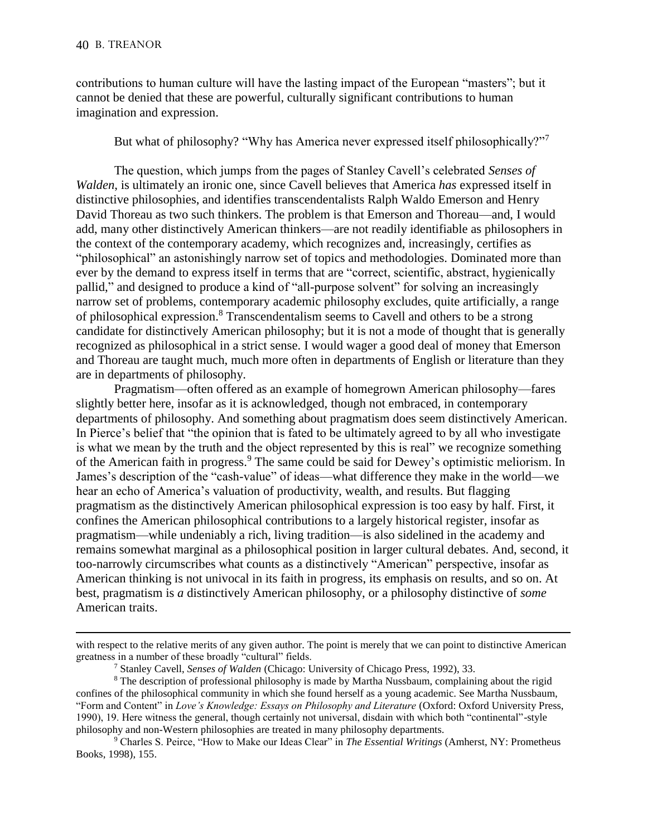$\overline{a}$ 

contributions to human culture will have the lasting impact of the European "masters"; but it cannot be denied that these are powerful, culturally significant contributions to human imagination and expression.

But what of philosophy? "Why has America never expressed itself philosophically?"<sup>7</sup>

The question, which jumps from the pages of Stanley Cavell's celebrated *Senses of Walden*, is ultimately an ironic one, since Cavell believes that America *has* expressed itself in distinctive philosophies, and identifies transcendentalists Ralph Waldo Emerson and Henry David Thoreau as two such thinkers. The problem is that Emerson and Thoreau—and, I would add, many other distinctively American thinkers—are not readily identifiable as philosophers in the context of the contemporary academy, which recognizes and, increasingly, certifies as "philosophical" an astonishingly narrow set of topics and methodologies. Dominated more than ever by the demand to express itself in terms that are "correct, scientific, abstract, hygienically pallid," and designed to produce a kind of "all-purpose solvent" for solving an increasingly narrow set of problems, contemporary academic philosophy excludes, quite artificially, a range of philosophical expression. <sup>8</sup> Transcendentalism seems to Cavell and others to be a strong candidate for distinctively American philosophy; but it is not a mode of thought that is generally recognized as philosophical in a strict sense. I would wager a good deal of money that Emerson and Thoreau are taught much, much more often in departments of English or literature than they are in departments of philosophy.

Pragmatism—often offered as an example of homegrown American philosophy—fares slightly better here, insofar as it is acknowledged, though not embraced, in contemporary departments of philosophy. And something about pragmatism does seem distinctively American. In Pierce's belief that "the opinion that is fated to be ultimately agreed to by all who investigate is what we mean by the truth and the object represented by this is real" we recognize something of the American faith in progress. <sup>9</sup> The same could be said for Dewey's optimistic meliorism. In James's description of the "cash-value" of ideas—what difference they make in the world—we hear an echo of America's valuation of productivity, wealth, and results. But flagging pragmatism as the distinctively American philosophical expression is too easy by half. First, it confines the American philosophical contributions to a largely historical register, insofar as pragmatism—while undeniably a rich, living tradition—is also sidelined in the academy and remains somewhat marginal as a philosophical position in larger cultural debates. And, second, it too-narrowly circumscribes what counts as a distinctively "American" perspective, insofar as American thinking is not univocal in its faith in progress, its emphasis on results, and so on. At best, pragmatism is *a* distinctively American philosophy, or a philosophy distinctive of *some* American traits.

with respect to the relative merits of any given author. The point is merely that we can point to distinctive American greatness in a number of these broadly "cultural" fields.

<sup>7</sup> Stanley Cavell, *Senses of Walden* (Chicago: University of Chicago Press, 1992), 33.

<sup>&</sup>lt;sup>8</sup> The description of professional philosophy is made by Martha Nussbaum, complaining about the rigid confines of the philosophical community in which she found herself as a young academic. See Martha Nussbaum, "Form and Content" in *Love's Knowledge: Essays on Philosophy and Literature* (Oxford: Oxford University Press, 1990), 19. Here witness the general, though certainly not universal, disdain with which both "continental"-style philosophy and non-Western philosophies are treated in many philosophy departments.

<sup>9</sup> Charles S. Peirce, "How to Make our Ideas Clear" in *The Essential Writings* (Amherst, NY: Prometheus Books, 1998), 155.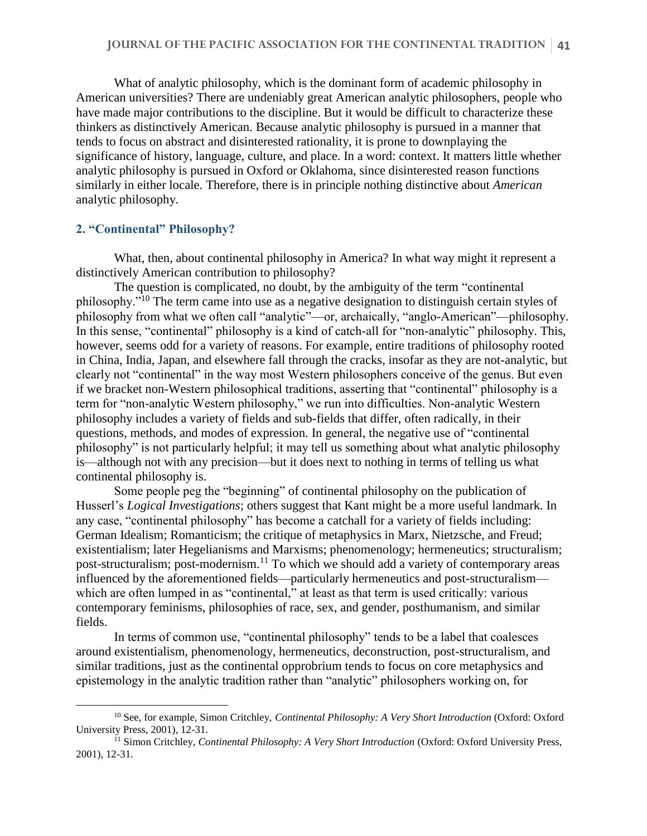What of analytic philosophy, which is the dominant form of academic philosophy in American universities? There are undeniably great American analytic philosophers, people who have made major contributions to the discipline. But it would be difficult to characterize these thinkers as distinctively American. Because analytic philosophy is pursued in a manner that tends to focus on abstract and disinterested rationality, it is prone to downplaying the significance of history, language, culture, and place. In a word: context. It matters little whether analytic philosophy is pursued in Oxford or Oklahoma, since disinterested reason functions similarly in either locale. Therefore, there is in principle nothing distinctive about *American* analytic philosophy.

#### **2. "Continental" Philosophy?**

 $\overline{a}$ 

What, then, about continental philosophy in America? In what way might it represent a distinctively American contribution to philosophy?

The question is complicated, no doubt, by the ambiguity of the term "continental philosophy."<sup>10</sup> The term came into use as a negative designation to distinguish certain styles of philosophy from what we often call "analytic"—or, archaically, "anglo-American"—philosophy. In this sense, "continental" philosophy is a kind of catch-all for "non-analytic" philosophy. This, however, seems odd for a variety of reasons. For example, entire traditions of philosophy rooted in China, India, Japan, and elsewhere fall through the cracks, insofar as they are not-analytic, but clearly not "continental" in the way most Western philosophers conceive of the genus. But even if we bracket non-Western philosophical traditions, asserting that "continental" philosophy is a term for "non-analytic Western philosophy," we run into difficulties. Non-analytic Western philosophy includes a variety of fields and sub-fields that differ, often radically, in their questions, methods, and modes of expression. In general, the negative use of "continental philosophy" is not particularly helpful; it may tell us something about what analytic philosophy is—although not with any precision—but it does next to nothing in terms of telling us what continental philosophy is.

Some people peg the "beginning" of continental philosophy on the publication of Husserl's *Logical Investigations*; others suggest that Kant might be a more useful landmark. In any case, "continental philosophy" has become a catchall for a variety of fields including: German Idealism; Romanticism; the critique of metaphysics in Marx, Nietzsche, and Freud; existentialism; later Hegelianisms and Marxisms; phenomenology; hermeneutics; structuralism; post-structuralism; post-modernism.<sup>11</sup> To which we should add a variety of contemporary areas influenced by the aforementioned fields—particularly hermeneutics and post-structuralism which are often lumped in as "continental," at least as that term is used critically: various contemporary feminisms, philosophies of race, sex, and gender, posthumanism, and similar fields.

In terms of common use, "continental philosophy" tends to be a label that coalesces around existentialism, phenomenology, hermeneutics, deconstruction, post-structuralism, and similar traditions, just as the continental opprobrium tends to focus on core metaphysics and epistemology in the analytic tradition rather than "analytic" philosophers working on, for

<sup>10</sup> See, for example, Simon Critchley, *Continental Philosophy: A Very Short Introduction* (Oxford: Oxford University Press, 2001), 12-31.

<sup>11</sup> Simon Critchley, *Continental Philosophy: A Very Short Introduction* (Oxford: Oxford University Press, 2001), 12-31.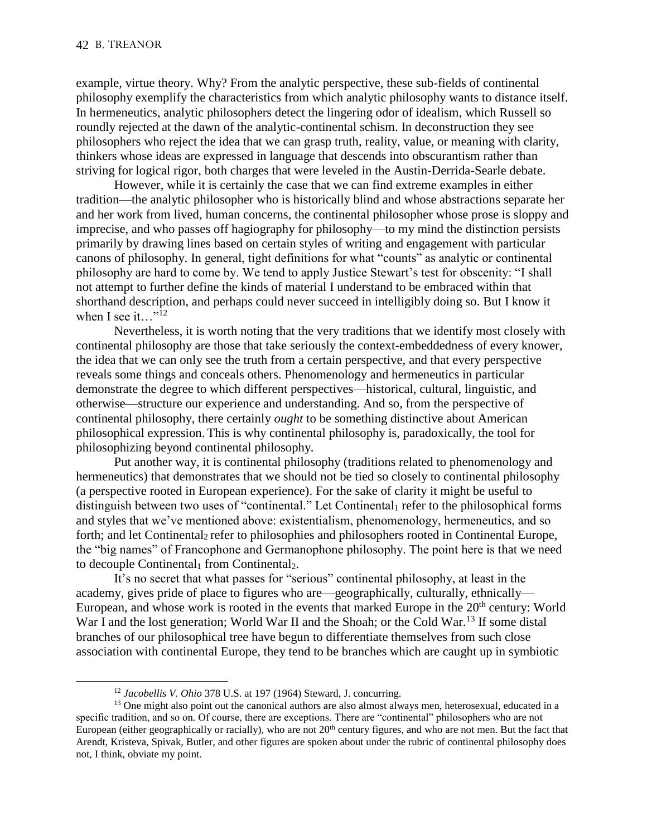$\overline{a}$ 

example, virtue theory. Why? From the analytic perspective, these sub-fields of continental philosophy exemplify the characteristics from which analytic philosophy wants to distance itself. In hermeneutics, analytic philosophers detect the lingering odor of idealism, which Russell so roundly rejected at the dawn of the analytic-continental schism. In deconstruction they see philosophers who reject the idea that we can grasp truth, reality, value, or meaning with clarity, thinkers whose ideas are expressed in language that descends into obscurantism rather than striving for logical rigor, both charges that were leveled in the Austin-Derrida-Searle debate.

However, while it is certainly the case that we can find extreme examples in either tradition—the analytic philosopher who is historically blind and whose abstractions separate her and her work from lived, human concerns, the continental philosopher whose prose is sloppy and imprecise, and who passes off hagiography for philosophy—to my mind the distinction persists primarily by drawing lines based on certain styles of writing and engagement with particular canons of philosophy. In general, tight definitions for what "counts" as analytic or continental philosophy are hard to come by. We tend to apply Justice Stewart's test for obscenity: "I shall not attempt to further define the kinds of material I understand to be embraced within that shorthand description, and perhaps could never succeed in intelligibly doing so. But I know it when I see it..."<sup>12</sup>

Nevertheless, it is worth noting that the very traditions that we identify most closely with continental philosophy are those that take seriously the context-embeddedness of every knower, the idea that we can only see the truth from a certain perspective, and that every perspective reveals some things and conceals others. Phenomenology and hermeneutics in particular demonstrate the degree to which different perspectives—historical, cultural, linguistic, and otherwise—structure our experience and understanding. And so, from the perspective of continental philosophy, there certainly *ought* to be something distinctive about American philosophical expression. This is why continental philosophy is, paradoxically, the tool for philosophizing beyond continental philosophy.

Put another way, it is continental philosophy (traditions related to phenomenology and hermeneutics) that demonstrates that we should not be tied so closely to continental philosophy (a perspective rooted in European experience). For the sake of clarity it might be useful to distinguish between two uses of "continental." Let Continental<sub>1</sub> refer to the philosophical forms and styles that we've mentioned above: existentialism, phenomenology, hermeneutics, and so forth; and let Continental<sub>2</sub> refer to philosophies and philosophers rooted in Continental Europe, the "big names" of Francophone and Germanophone philosophy. The point here is that we need to decouple Continental<sub>1</sub> from Continental<sub>2</sub>.

It's no secret that what passes for "serious" continental philosophy, at least in the academy, gives pride of place to figures who are—geographically, culturally, ethnically— European, and whose work is rooted in the events that marked Europe in the  $20<sup>th</sup>$  century: World War I and the lost generation; World War II and the Shoah; or the Cold War.<sup>13</sup> If some distal branches of our philosophical tree have begun to differentiate themselves from such close association with continental Europe, they tend to be branches which are caught up in symbiotic

<sup>12</sup> *Jacobellis V. Ohio* 378 U.S. at 197 (1964) Steward, J. concurring.

<sup>&</sup>lt;sup>13</sup> One might also point out the canonical authors are also almost always men, heterosexual, educated in a specific tradition, and so on. Of course, there are exceptions. There are "continental" philosophers who are not European (either geographically or racially), who are not  $20<sup>th</sup>$  century figures, and who are not men. But the fact that Arendt, Kristeva, Spivak, Butler, and other figures are spoken about under the rubric of continental philosophy does not, I think, obviate my point.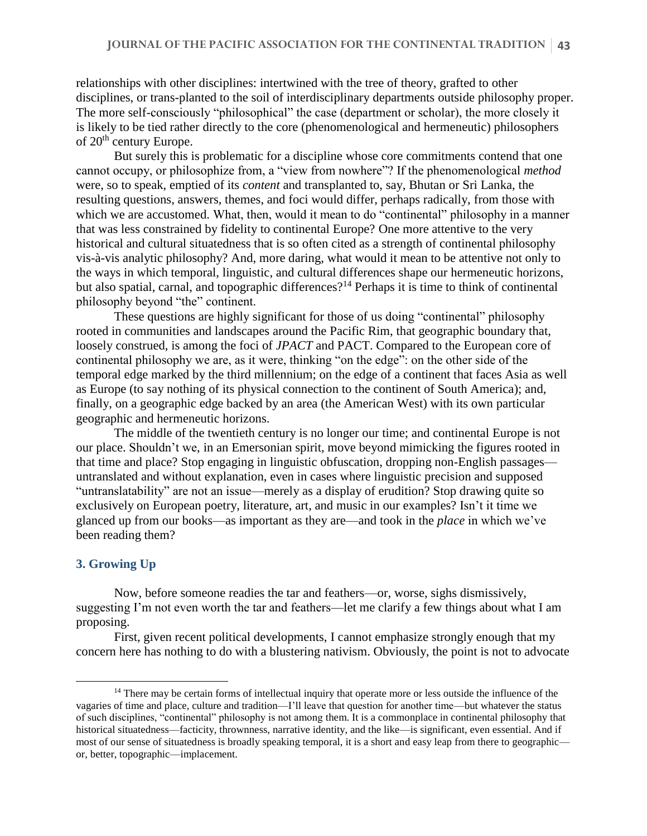relationships with other disciplines: intertwined with the tree of theory, grafted to other disciplines, or trans-planted to the soil of interdisciplinary departments outside philosophy proper. The more self-consciously "philosophical" the case (department or scholar), the more closely it is likely to be tied rather directly to the core (phenomenological and hermeneutic) philosophers of 20<sup>th</sup> century Europe.

But surely this is problematic for a discipline whose core commitments contend that one cannot occupy, or philosophize from, a "view from nowhere"? If the phenomenological *method* were, so to speak, emptied of its *content* and transplanted to, say, Bhutan or Sri Lanka, the resulting questions, answers, themes, and foci would differ, perhaps radically, from those with which we are accustomed. What, then, would it mean to do "continental" philosophy in a manner that was less constrained by fidelity to continental Europe? One more attentive to the very historical and cultural situatedness that is so often cited as a strength of continental philosophy vis-à-vis analytic philosophy? And, more daring, what would it mean to be attentive not only to the ways in which temporal, linguistic, and cultural differences shape our hermeneutic horizons, but also spatial, carnal, and topographic differences?<sup>14</sup> Perhaps it is time to think of continental philosophy beyond "the" continent.

These questions are highly significant for those of us doing "continental" philosophy rooted in communities and landscapes around the Pacific Rim, that geographic boundary that, loosely construed, is among the foci of *JPACT* and PACT. Compared to the European core of continental philosophy we are, as it were, thinking "on the edge": on the other side of the temporal edge marked by the third millennium; on the edge of a continent that faces Asia as well as Europe (to say nothing of its physical connection to the continent of South America); and, finally, on a geographic edge backed by an area (the American West) with its own particular geographic and hermeneutic horizons.

The middle of the twentieth century is no longer our time; and continental Europe is not our place. Shouldn't we, in an Emersonian spirit, move beyond mimicking the figures rooted in that time and place? Stop engaging in linguistic obfuscation, dropping non-English passages untranslated and without explanation, even in cases where linguistic precision and supposed "untranslatability" are not an issue—merely as a display of erudition? Stop drawing quite so exclusively on European poetry, literature, art, and music in our examples? Isn't it time we glanced up from our books—as important as they are—and took in the *place* in which we've been reading them?

### **3. Growing Up**

 $\overline{a}$ 

Now, before someone readies the tar and feathers—or, worse, sighs dismissively, suggesting I'm not even worth the tar and feathers—let me clarify a few things about what I am proposing.

First, given recent political developments, I cannot emphasize strongly enough that my concern here has nothing to do with a blustering nativism. Obviously, the point is not to advocate

<sup>&</sup>lt;sup>14</sup> There may be certain forms of intellectual inquiry that operate more or less outside the influence of the vagaries of time and place, culture and tradition—I'll leave that question for another time—but whatever the status of such disciplines, "continental" philosophy is not among them. It is a commonplace in continental philosophy that historical situatedness—facticity, thrownness, narrative identity, and the like—is significant, even essential. And if most of our sense of situatedness is broadly speaking temporal, it is a short and easy leap from there to geographic or, better, topographic—implacement.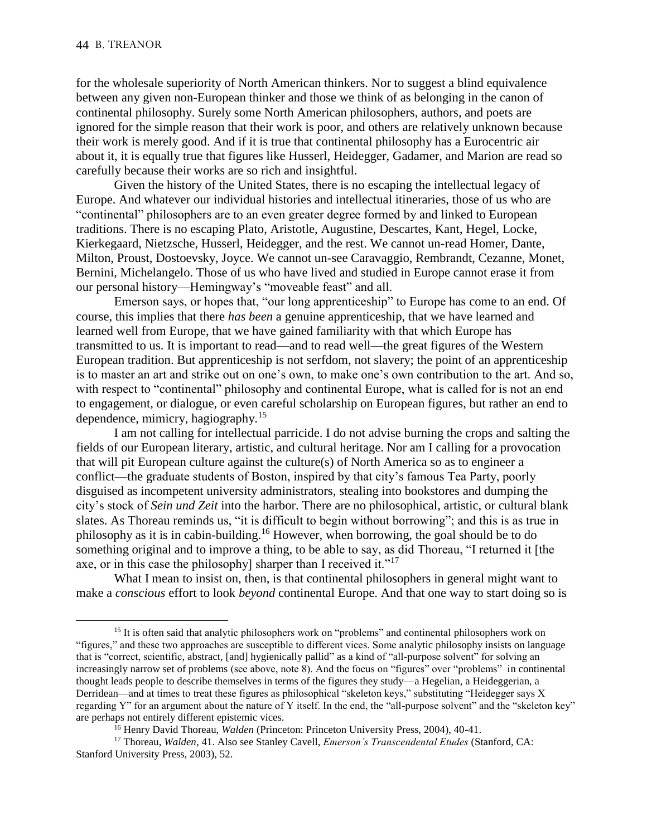$\overline{a}$ 

for the wholesale superiority of North American thinkers. Nor to suggest a blind equivalence between any given non-European thinker and those we think of as belonging in the canon of continental philosophy. Surely some North American philosophers, authors, and poets are ignored for the simple reason that their work is poor, and others are relatively unknown because their work is merely good. And if it is true that continental philosophy has a Eurocentric air about it, it is equally true that figures like Husserl, Heidegger, Gadamer, and Marion are read so carefully because their works are so rich and insightful.

Given the history of the United States, there is no escaping the intellectual legacy of Europe. And whatever our individual histories and intellectual itineraries, those of us who are "continental" philosophers are to an even greater degree formed by and linked to European traditions. There is no escaping Plato, Aristotle, Augustine, Descartes, Kant, Hegel, Locke, Kierkegaard, Nietzsche, Husserl, Heidegger, and the rest. We cannot un-read Homer, Dante, Milton, Proust, Dostoevsky, Joyce. We cannot un-see Caravaggio, Rembrandt, Cezanne, Monet, Bernini, Michelangelo. Those of us who have lived and studied in Europe cannot erase it from our personal history—Hemingway's "moveable feast" and all.

Emerson says, or hopes that, "our long apprenticeship" to Europe has come to an end. Of course, this implies that there *has been* a genuine apprenticeship, that we have learned and learned well from Europe, that we have gained familiarity with that which Europe has transmitted to us. It is important to read—and to read well—the great figures of the Western European tradition. But apprenticeship is not serfdom, not slavery; the point of an apprenticeship is to master an art and strike out on one's own, to make one's own contribution to the art. And so, with respect to "continental" philosophy and continental Europe, what is called for is not an end to engagement, or dialogue, or even careful scholarship on European figures, but rather an end to dependence, mimicry, hagiography.<sup>15</sup>

I am not calling for intellectual parricide. I do not advise burning the crops and salting the fields of our European literary, artistic, and cultural heritage. Nor am I calling for a provocation that will pit European culture against the culture(s) of North America so as to engineer a conflict—the graduate students of Boston, inspired by that city's famous Tea Party, poorly disguised as incompetent university administrators, stealing into bookstores and dumping the city's stock of *Sein und Zeit* into the harbor. There are no philosophical, artistic, or cultural blank slates. As Thoreau reminds us, "it is difficult to begin without borrowing"; and this is as true in philosophy as it is in cabin-building.<sup>16</sup> However, when borrowing, the goal should be to do something original and to improve a thing, to be able to say, as did Thoreau, "I returned it [the axe, or in this case the philosophy] sharper than I received it."<sup>17</sup>

What I mean to insist on, then, is that continental philosophers in general might want to make a *conscious* effort to look *beyond* continental Europe. And that one way to start doing so is

<sup>&</sup>lt;sup>15</sup> It is often said that analytic philosophers work on "problems" and continental philosophers work on "figures," and these two approaches are susceptible to different vices. Some analytic philosophy insists on language that is "correct, scientific, abstract, [and] hygienically pallid" as a kind of "all-purpose solvent" for solving an increasingly narrow set of problems (see above, note 8). And the focus on "figures" over "problems" in continental thought leads people to describe themselves in terms of the figures they study—a Hegelian, a Heideggerian, a Derridean—and at times to treat these figures as philosophical "skeleton keys," substituting "Heidegger says X regarding Y" for an argument about the nature of Y itself. In the end, the "all-purpose solvent" and the "skeleton key" are perhaps not entirely different epistemic vices.

<sup>16</sup> Henry David Thoreau, *Walden* (Princeton: Princeton University Press, 2004), 40-41.

<sup>17</sup> Thoreau, *Walden*, 41. Also see Stanley Cavell, *Emerson's Transcendental Etudes* (Stanford, CA: Stanford University Press, 2003), 52.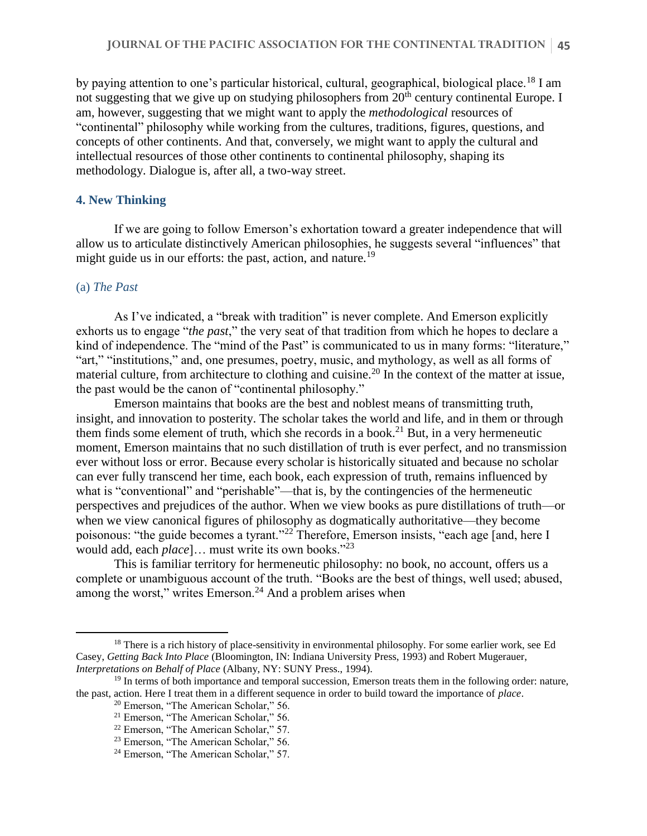by paying attention to one's particular historical, cultural, geographical, biological place.<sup>18</sup> I am not suggesting that we give up on studying philosophers from  $20<sup>th</sup>$  century continental Europe. I am, however, suggesting that we might want to apply the *methodological* resources of "continental" philosophy while working from the cultures, traditions, figures, questions, and concepts of other continents. And that, conversely, we might want to apply the cultural and intellectual resources of those other continents to continental philosophy, shaping its methodology. Dialogue is, after all, a two-way street.

### **4. New Thinking**

If we are going to follow Emerson's exhortation toward a greater independence that will allow us to articulate distinctively American philosophies, he suggests several "influences" that might guide us in our efforts: the past, action, and nature.<sup>19</sup>

#### (a) *The Past*

 $\overline{a}$ 

As I've indicated, a "break with tradition" is never complete. And Emerson explicitly exhorts us to engage "*the past*," the very seat of that tradition from which he hopes to declare a kind of independence. The "mind of the Past" is communicated to us in many forms: "literature," "art," "institutions," and, one presumes, poetry, music, and mythology, as well as all forms of material culture, from architecture to clothing and cuisine.<sup>20</sup> In the context of the matter at issue, the past would be the canon of "continental philosophy."

Emerson maintains that books are the best and noblest means of transmitting truth, insight, and innovation to posterity. The scholar takes the world and life, and in them or through them finds some element of truth, which she records in a book.<sup>21</sup> But, in a very hermeneutic moment, Emerson maintains that no such distillation of truth is ever perfect, and no transmission ever without loss or error. Because every scholar is historically situated and because no scholar can ever fully transcend her time, each book, each expression of truth, remains influenced by what is "conventional" and "perishable"—that is, by the contingencies of the hermeneutic perspectives and prejudices of the author. When we view books as pure distillations of truth—or when we view canonical figures of philosophy as dogmatically authoritative—they become poisonous: "the guide becomes a tyrant."<sup>22</sup> Therefore, Emerson insists, "each age [and, here I would add, each *place*]… must write its own books."<sup>23</sup>

This is familiar territory for hermeneutic philosophy: no book, no account, offers us a complete or unambiguous account of the truth. "Books are the best of things, well used; abused, among the worst," writes Emerson.<sup>24</sup> And a problem arises when

<sup>&</sup>lt;sup>18</sup> There is a rich history of place-sensitivity in environmental philosophy. For some earlier work, see Ed Casey, *Getting Back Into Place* (Bloomington, IN: Indiana University Press, 1993) and Robert Mugerauer, *Interpretations on Behalf of Place* (Albany, NY: SUNY Press., 1994).

 $19$  In terms of both importance and temporal succession, Emerson treats them in the following order: nature, the past, action. Here I treat them in a different sequence in order to build toward the importance of *place*.

<sup>20</sup> Emerson, "The American Scholar," 56.

<sup>21</sup> Emerson, "The American Scholar," 56.

<sup>22</sup> Emerson, "The American Scholar," 57.

<sup>&</sup>lt;sup>23</sup> Emerson, "The American Scholar," 56.

<sup>&</sup>lt;sup>24</sup> Emerson, "The American Scholar," 57.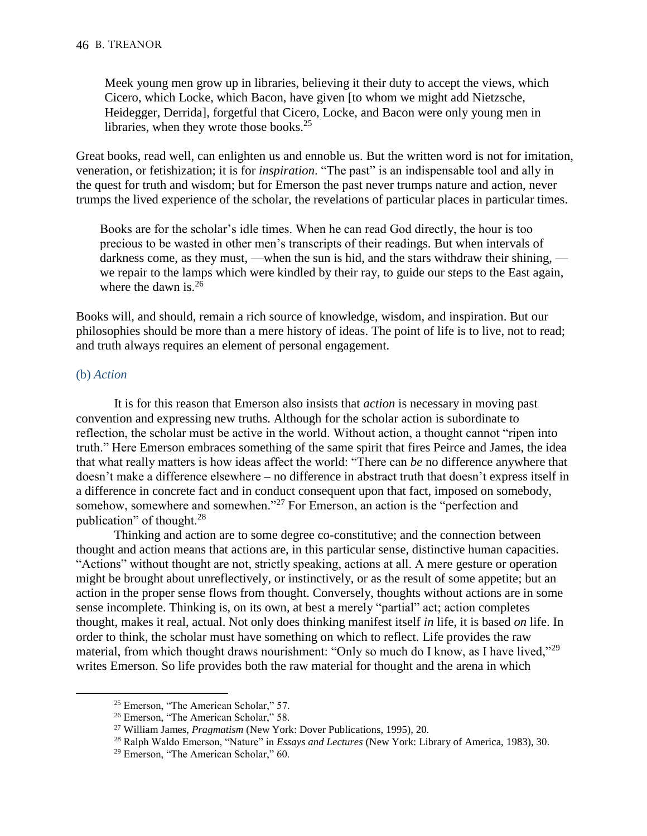Meek young men grow up in libraries, believing it their duty to accept the views, which Cicero, which Locke, which Bacon, have given [to whom we might add Nietzsche, Heidegger, Derrida], forgetful that Cicero, Locke, and Bacon were only young men in libraries, when they wrote those books. $25$ 

Great books, read well, can enlighten us and ennoble us. But the written word is not for imitation, veneration, or fetishization; it is for *inspiration*. "The past" is an indispensable tool and ally in the quest for truth and wisdom; but for Emerson the past never trumps nature and action, never trumps the lived experience of the scholar, the revelations of particular places in particular times.

Books are for the scholar's idle times. When he can read God directly, the hour is too precious to be wasted in other men's transcripts of their readings. But when intervals of darkness come, as they must, —when the sun is hid, and the stars withdraw their shining, we repair to the lamps which were kindled by their ray, to guide our steps to the East again, where the dawn is.<sup>26</sup>

Books will, and should, remain a rich source of knowledge, wisdom, and inspiration. But our philosophies should be more than a mere history of ideas. The point of life is to live, not to read; and truth always requires an element of personal engagement.

## (b) *Action*

 $\overline{a}$ 

It is for this reason that Emerson also insists that *action* is necessary in moving past convention and expressing new truths. Although for the scholar action is subordinate to reflection, the scholar must be active in the world. Without action, a thought cannot "ripen into truth." Here Emerson embraces something of the same spirit that fires Peirce and James, the idea that what really matters is how ideas affect the world: "There can *be* no difference anywhere that doesn't make a difference elsewhere – no difference in abstract truth that doesn't express itself in a difference in concrete fact and in conduct consequent upon that fact, imposed on somebody, somehow, somewhere and somewhen."<sup>27</sup> For Emerson, an action is the "perfection and publication" of thought.<sup>28</sup>

Thinking and action are to some degree co-constitutive; and the connection between thought and action means that actions are, in this particular sense, distinctive human capacities. "Actions" without thought are not, strictly speaking, actions at all. A mere gesture or operation might be brought about unreflectively, or instinctively, or as the result of some appetite; but an action in the proper sense flows from thought. Conversely, thoughts without actions are in some sense incomplete. Thinking is, on its own, at best a merely "partial" act; action completes thought, makes it real, actual. Not only does thinking manifest itself *in* life, it is based *on* life. In order to think, the scholar must have something on which to reflect. Life provides the raw material, from which thought draws nourishment: "Only so much do I know, as I have lived,"<sup>29</sup> writes Emerson. So life provides both the raw material for thought and the arena in which

<sup>25</sup> Emerson, "The American Scholar," 57.

<sup>26</sup> Emerson, "The American Scholar," 58.

<sup>27</sup> William James, *Pragmatism* (New York: Dover Publications, 1995), 20.

<sup>28</sup> Ralph Waldo Emerson, "Nature" in *Essays and Lectures* (New York: Library of America, 1983), 30.

<sup>29</sup> Emerson, "The American Scholar," 60.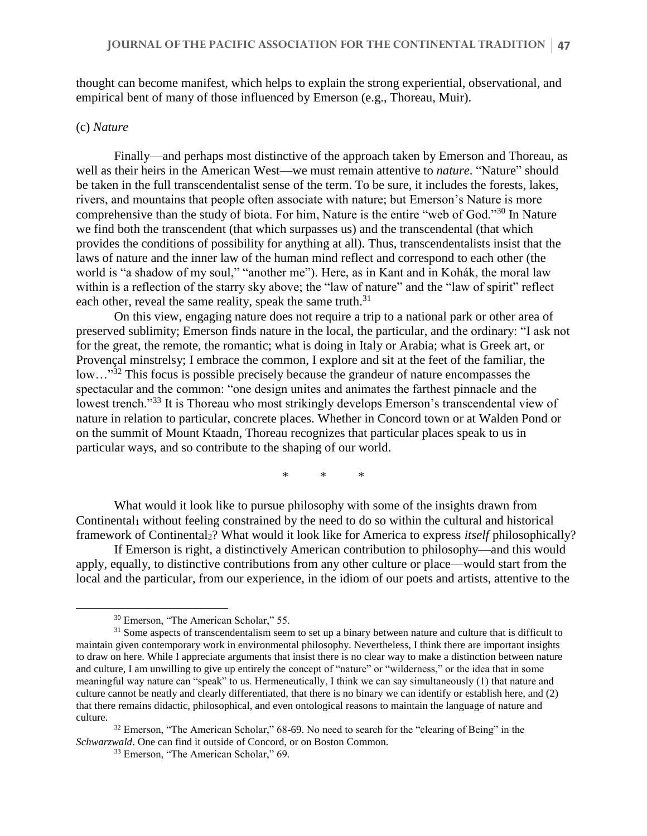thought can become manifest, which helps to explain the strong experiential, observational, and empirical bent of many of those influenced by Emerson (e.g., Thoreau, Muir).

### (c) *Nature*

 $\overline{a}$ 

Finally—and perhaps most distinctive of the approach taken by Emerson and Thoreau, as well as their heirs in the American West—we must remain attentive to *nature*. "Nature" should be taken in the full transcendentalist sense of the term. To be sure, it includes the forests, lakes, rivers, and mountains that people often associate with nature; but Emerson's Nature is more comprehensive than the study of biota. For him, Nature is the entire "web of God."<sup>30</sup> In Nature we find both the transcendent (that which surpasses us) and the transcendental (that which provides the conditions of possibility for anything at all). Thus, transcendentalists insist that the laws of nature and the inner law of the human mind reflect and correspond to each other (the world is "a shadow of my soul," "another me"). Here, as in Kant and in Kohák, the moral law within is a reflection of the starry sky above; the "law of nature" and the "law of spirit" reflect each other, reveal the same reality, speak the same truth.<sup>31</sup>

On this view, engaging nature does not require a trip to a national park or other area of preserved sublimity; Emerson finds nature in the local, the particular, and the ordinary: "I ask not for the great, the remote, the romantic; what is doing in Italy or Arabia; what is Greek art, or Provençal minstrelsy; I embrace the common, I explore and sit at the feet of the familiar, the low…"<sup>32</sup> This focus is possible precisely because the grandeur of nature encompasses the spectacular and the common: "one design unites and animates the farthest pinnacle and the lowest trench."<sup>33</sup> It is Thoreau who most strikingly develops Emerson's transcendental view of nature in relation to particular, concrete places. Whether in Concord town or at Walden Pond or on the summit of Mount Ktaadn, Thoreau recognizes that particular places speak to us in particular ways, and so contribute to the shaping of our world.

\* \* \*

What would it look like to pursue philosophy with some of the insights drawn from Continental<sub>1</sub> without feeling constrained by the need to do so within the cultural and historical framework of Continental2? What would it look like for America to express *itself* philosophically?

If Emerson is right, a distinctively American contribution to philosophy—and this would apply, equally, to distinctive contributions from any other culture or place—would start from the local and the particular, from our experience, in the idiom of our poets and artists, attentive to the

<sup>30</sup> Emerson, "The American Scholar," 55.

 $31$  Some aspects of transcendentalism seem to set up a binary between nature and culture that is difficult to maintain given contemporary work in environmental philosophy. Nevertheless, I think there are important insights to draw on here. While I appreciate arguments that insist there is no clear way to make a distinction between nature and culture, I am unwilling to give up entirely the concept of "nature" or "wilderness," or the idea that in some meaningful way nature can "speak" to us. Hermeneutically, I think we can say simultaneously (1) that nature and culture cannot be neatly and clearly differentiated, that there is no binary we can identify or establish here, and (2) that there remains didactic, philosophical, and even ontological reasons to maintain the language of nature and culture.

<sup>&</sup>lt;sup>32</sup> Emerson, "The American Scholar," 68-69. No need to search for the "clearing of Being" in the *Schwarzwald*. One can find it outside of Concord, or on Boston Common.

<sup>33</sup> Emerson, "The American Scholar," 69.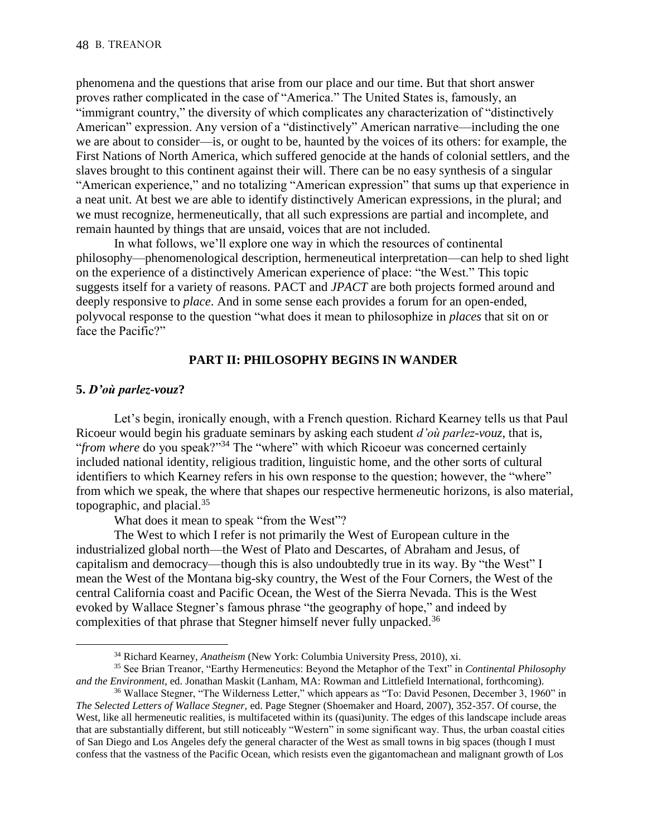phenomena and the questions that arise from our place and our time. But that short answer proves rather complicated in the case of "America." The United States is, famously, an "immigrant country," the diversity of which complicates any characterization of "distinctively American" expression. Any version of a "distinctively" American narrative—including the one we are about to consider—is, or ought to be, haunted by the voices of its others: for example, the First Nations of North America, which suffered genocide at the hands of colonial settlers, and the slaves brought to this continent against their will. There can be no easy synthesis of a singular "American experience," and no totalizing "American expression" that sums up that experience in a neat unit. At best we are able to identify distinctively American expressions, in the plural; and we must recognize, hermeneutically, that all such expressions are partial and incomplete, and remain haunted by things that are unsaid, voices that are not included.

In what follows, we'll explore one way in which the resources of continental philosophy—phenomenological description, hermeneutical interpretation—can help to shed light on the experience of a distinctively American experience of place: "the West." This topic suggests itself for a variety of reasons. PACT and *JPACT* are both projects formed around and deeply responsive to *place*. And in some sense each provides a forum for an open-ended, polyvocal response to the question "what does it mean to philosophize in *places* that sit on or face the Pacific?"

### **PART II: PHILOSOPHY BEGINS IN WANDER**

#### **5.** *D'où parlez-vouz***?**

 $\overline{a}$ 

Let's begin, ironically enough, with a French question. Richard Kearney tells us that Paul Ricoeur would begin his graduate seminars by asking each student *d'où parlez-vouz*, that is, "*from where* do you speak?"<sup>34</sup> The "where" with which Ricoeur was concerned certainly included national identity, religious tradition, linguistic home, and the other sorts of cultural identifiers to which Kearney refers in his own response to the question; however, the "where" from which we speak, the where that shapes our respective hermeneutic horizons, is also material, topographic, and placial. $35$ 

What does it mean to speak "from the West"?

The West to which I refer is not primarily the West of European culture in the industrialized global north—the West of Plato and Descartes, of Abraham and Jesus, of capitalism and democracy—though this is also undoubtedly true in its way. By "the West" I mean the West of the Montana big-sky country, the West of the Four Corners, the West of the central California coast and Pacific Ocean, the West of the Sierra Nevada. This is the West evoked by Wallace Stegner's famous phrase "the geography of hope," and indeed by complexities of that phrase that Stegner himself never fully unpacked.<sup>36</sup>

<sup>34</sup> Richard Kearney, *Anatheism* (New York: Columbia University Press, 2010), xi.

<sup>35</sup> See Brian Treanor, "Earthy Hermeneutics: Beyond the Metaphor of the Text" in *Continental Philosophy and the Environment*, ed. Jonathan Maskit (Lanham, MA: Rowman and Littlefield International, forthcoming).

<sup>36</sup> Wallace Stegner, "The Wilderness Letter," which appears as "To: David Pesonen, December 3, 1960" in *The Selected Letters of Wallace Stegner,* ed. Page Stegner (Shoemaker and Hoard, 2007), 352-357. Of course, the West, like all hermeneutic realities, is multifaceted within its (quasi)unity. The edges of this landscape include areas that are substantially different, but still noticeably "Western" in some significant way. Thus, the urban coastal cities of San Diego and Los Angeles defy the general character of the West as small towns in big spaces (though I must confess that the vastness of the Pacific Ocean, which resists even the gigantomachean and malignant growth of Los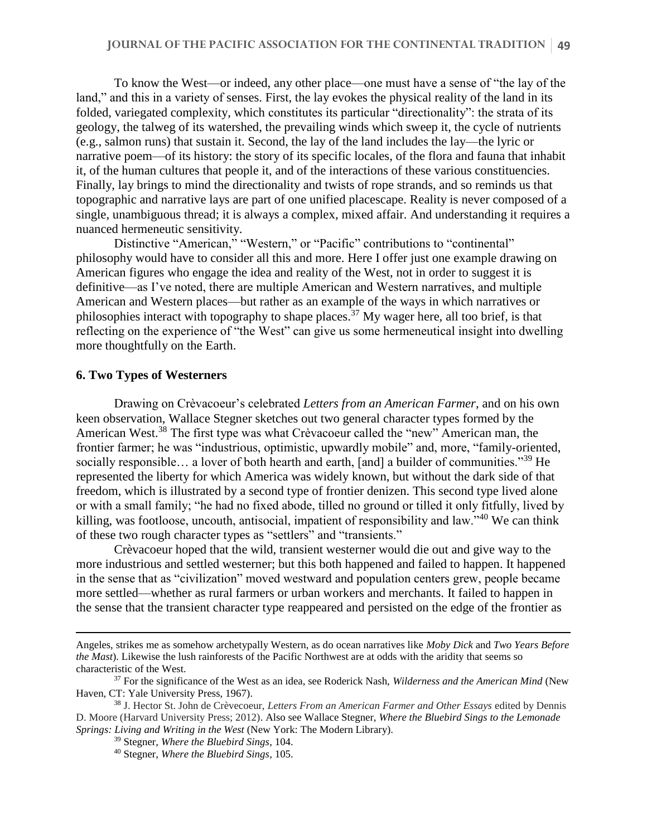To know the West—or indeed, any other place—one must have a sense of "the lay of the land," and this in a variety of senses. First, the lay evokes the physical reality of the land in its folded, variegated complexity, which constitutes its particular "directionality": the strata of its geology, the talweg of its watershed, the prevailing winds which sweep it, the cycle of nutrients (e.g., salmon runs) that sustain it. Second, the lay of the land includes the lay—the lyric or narrative poem—of its history: the story of its specific locales, of the flora and fauna that inhabit it, of the human cultures that people it, and of the interactions of these various constituencies. Finally, lay brings to mind the directionality and twists of rope strands, and so reminds us that topographic and narrative lays are part of one unified placescape. Reality is never composed of a single, unambiguous thread; it is always a complex, mixed affair. And understanding it requires a nuanced hermeneutic sensitivity.

Distinctive "American," "Western," or "Pacific" contributions to "continental" philosophy would have to consider all this and more. Here I offer just one example drawing on American figures who engage the idea and reality of the West, not in order to suggest it is definitive—as I've noted, there are multiple American and Western narratives, and multiple American and Western places—but rather as an example of the ways in which narratives or philosophies interact with topography to shape places.<sup>37</sup> My wager here, all too brief, is that reflecting on the experience of "the West" can give us some hermeneutical insight into dwelling more thoughtfully on the Earth.

#### **6. Two Types of Westerners**

 $\overline{a}$ 

Drawing on Crèvacoeur's celebrated *Letters from an American Farmer*, and on his own keen observation, Wallace Stegner sketches out two general character types formed by the American West.<sup>38</sup> The first type was what Crèvacoeur called the "new" American man, the frontier farmer; he was "industrious, optimistic, upwardly mobile" and, more, "family-oriented, socially responsible… a lover of both hearth and earth, [and] a builder of communities."<sup>39</sup> He represented the liberty for which America was widely known, but without the dark side of that freedom, which is illustrated by a second type of frontier denizen. This second type lived alone or with a small family; "he had no fixed abode, tilled no ground or tilled it only fitfully, lived by killing, was footloose, uncouth, antisocial, impatient of responsibility and law."<sup>40</sup> We can think of these two rough character types as "settlers" and "transients."

Crèvacoeur hoped that the wild, transient westerner would die out and give way to the more industrious and settled westerner; but this both happened and failed to happen. It happened in the sense that as "civilization" moved westward and population centers grew, people became more settled—whether as rural farmers or urban workers and merchants. It failed to happen in the sense that the transient character type reappeared and persisted on the edge of the frontier as

Angeles, strikes me as somehow archetypally Western, as do ocean narratives like *Moby Dick* and *Two Years Before the Mast*). Likewise the lush rainforests of the Pacific Northwest are at odds with the aridity that seems so characteristic of the West.

<sup>37</sup> For the significance of the West as an idea, see Roderick Nash, *Wilderness and the American Mind* (New Haven, CT: Yale University Press, 1967).

<sup>38</sup> J. Hector St. John de Crèvecoeur, *Letters From an American Farmer and Other Essays* edited by Dennis D. Moore (Harvard University Press; 2012). Also see Wallace Stegner, *Where the Bluebird Sings to the Lemonade Springs: Living and Writing in the West* (New York: The Modern Library).

<sup>39</sup> Stegner, *Where the Bluebird Sings*, 104.

<sup>40</sup> Stegner, *Where the Bluebird Sings*, 105.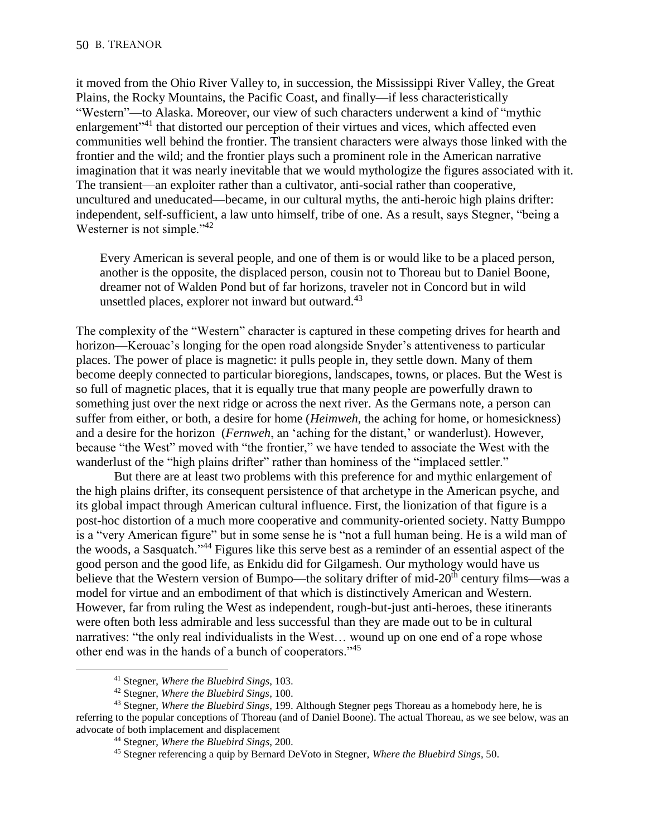it moved from the Ohio River Valley to, in succession, the Mississippi River Valley, the Great Plains, the Rocky Mountains, the Pacific Coast, and finally—if less characteristically "Western"—to Alaska. Moreover, our view of such characters underwent a kind of "mythic enlargement<sup>"41</sup> that distorted our perception of their virtues and vices, which affected even communities well behind the frontier. The transient characters were always those linked with the frontier and the wild; and the frontier plays such a prominent role in the American narrative imagination that it was nearly inevitable that we would mythologize the figures associated with it. The transient—an exploiter rather than a cultivator, anti-social rather than cooperative, uncultured and uneducated—became, in our cultural myths, the anti-heroic high plains drifter: independent, self-sufficient, a law unto himself, tribe of one. As a result, says Stegner, "being a Westerner is not simple."<sup>42</sup>

Every American is several people, and one of them is or would like to be a placed person, another is the opposite, the displaced person, cousin not to Thoreau but to Daniel Boone, dreamer not of Walden Pond but of far horizons, traveler not in Concord but in wild unsettled places, explorer not inward but outward.<sup>43</sup>

The complexity of the "Western" character is captured in these competing drives for hearth and horizon—Kerouac's longing for the open road alongside Snyder's attentiveness to particular places. The power of place is magnetic: it pulls people in, they settle down. Many of them become deeply connected to particular bioregions, landscapes, towns, or places. But the West is so full of magnetic places, that it is equally true that many people are powerfully drawn to something just over the next ridge or across the next river. As the Germans note, a person can suffer from either, or both, a desire for home (*Heimweh*, the aching for home, or homesickness) and a desire for the horizon (*Fernweh*, an 'aching for the distant,' or wanderlust). However, because "the West" moved with "the frontier," we have tended to associate the West with the wanderlust of the "high plains drifter" rather than hominess of the "implaced settler."

But there are at least two problems with this preference for and mythic enlargement of the high plains drifter, its consequent persistence of that archetype in the American psyche, and its global impact through American cultural influence. First, the lionization of that figure is a post-hoc distortion of a much more cooperative and community-oriented society. Natty Bumppo is a "very American figure" but in some sense he is "not a full human being. He is a wild man of the woods, a Sasquatch."<sup>44</sup> Figures like this serve best as a reminder of an essential aspect of the good person and the good life, as Enkidu did for Gilgamesh. Our mythology would have us believe that the Western version of Bumpo—the solitary drifter of mid-20<sup>th</sup> century films—was a model for virtue and an embodiment of that which is distinctively American and Western. However, far from ruling the West as independent, rough-but-just anti-heroes, these itinerants were often both less admirable and less successful than they are made out to be in cultural narratives: "the only real individualists in the West… wound up on one end of a rope whose other end was in the hands of a bunch of cooperators."<sup>45</sup>

<sup>41</sup> Stegner, *Where the Bluebird Sings*, 103.

<sup>42</sup> Stegner, *Where the Bluebird Sings*, 100.

<sup>43</sup> Stegner, *Where the Bluebird Sings*, 199. Although Stegner pegs Thoreau as a homebody here, he is referring to the popular conceptions of Thoreau (and of Daniel Boone). The actual Thoreau, as we see below, was an advocate of both implacement and displacement

<sup>44</sup> Stegner, *Where the Bluebird Sings*, 200.

<sup>45</sup> Stegner referencing a quip by Bernard DeVoto in Stegner, *Where the Bluebird Sings*, 50.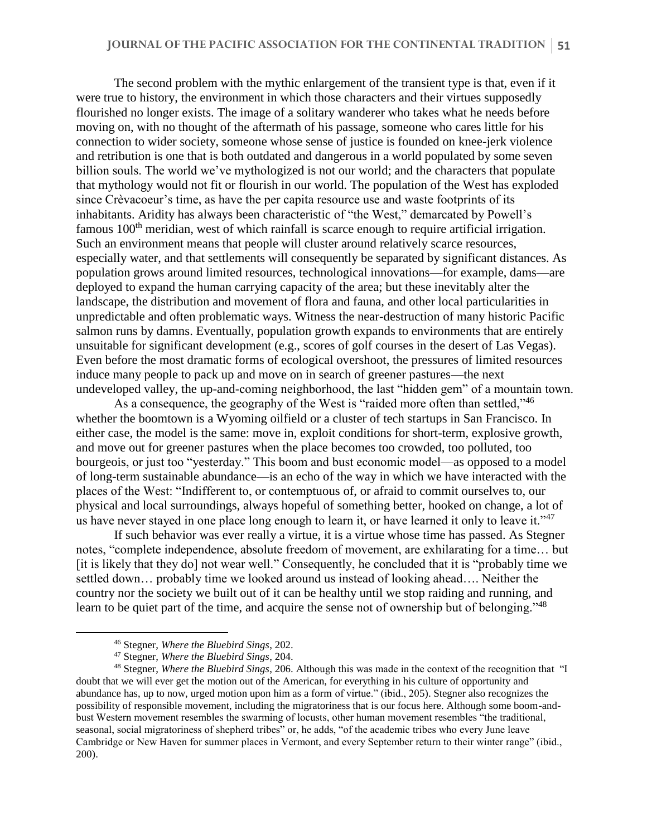The second problem with the mythic enlargement of the transient type is that, even if it were true to history, the environment in which those characters and their virtues supposedly flourished no longer exists. The image of a solitary wanderer who takes what he needs before moving on, with no thought of the aftermath of his passage, someone who cares little for his connection to wider society, someone whose sense of justice is founded on knee-jerk violence and retribution is one that is both outdated and dangerous in a world populated by some seven billion souls. The world we've mythologized is not our world; and the characters that populate that mythology would not fit or flourish in our world. The population of the West has exploded since Crèvacoeur's time, as have the per capita resource use and waste footprints of its inhabitants. Aridity has always been characteristic of "the West," demarcated by Powell's famous 100<sup>th</sup> meridian, west of which rainfall is scarce enough to require artificial irrigation. Such an environment means that people will cluster around relatively scarce resources, especially water, and that settlements will consequently be separated by significant distances. As population grows around limited resources, technological innovations—for example, dams—are deployed to expand the human carrying capacity of the area; but these inevitably alter the landscape, the distribution and movement of flora and fauna, and other local particularities in unpredictable and often problematic ways. Witness the near-destruction of many historic Pacific salmon runs by damns. Eventually, population growth expands to environments that are entirely unsuitable for significant development (e.g., scores of golf courses in the desert of Las Vegas). Even before the most dramatic forms of ecological overshoot, the pressures of limited resources induce many people to pack up and move on in search of greener pastures—the next undeveloped valley, the up-and-coming neighborhood, the last "hidden gem" of a mountain town.

As a consequence, the geography of the West is "raided more often than settled,"<sup>46</sup> whether the boomtown is a Wyoming oilfield or a cluster of tech startups in San Francisco. In either case, the model is the same: move in, exploit conditions for short-term, explosive growth, and move out for greener pastures when the place becomes too crowded, too polluted, too bourgeois, or just too "yesterday." This boom and bust economic model—as opposed to a model of long-term sustainable abundance—is an echo of the way in which we have interacted with the places of the West: "Indifferent to, or contemptuous of, or afraid to commit ourselves to, our physical and local surroundings, always hopeful of something better, hooked on change, a lot of us have never stayed in one place long enough to learn it, or have learned it only to leave it."<sup>47</sup>

If such behavior was ever really a virtue, it is a virtue whose time has passed. As Stegner notes, "complete independence, absolute freedom of movement, are exhilarating for a time… but [it is likely that they do] not wear well." Consequently, he concluded that it is "probably time we settled down… probably time we looked around us instead of looking ahead…. Neither the country nor the society we built out of it can be healthy until we stop raiding and running, and learn to be quiet part of the time, and acquire the sense not of ownership but of belonging."<sup>48</sup>

<sup>46</sup> Stegner, *Where the Bluebird Sings*, 202.

<sup>47</sup> Stegner, *Where the Bluebird Sings*, 204.

<sup>48</sup> Stegner, *Where the Bluebird Sings*, 206. Although this was made in the context of the recognition that "I doubt that we will ever get the motion out of the American, for everything in his culture of opportunity and abundance has, up to now, urged motion upon him as a form of virtue." (ibid., 205). Stegner also recognizes the possibility of responsible movement, including the migratoriness that is our focus here. Although some boom-andbust Western movement resembles the swarming of locusts, other human movement resembles "the traditional, seasonal, social migratoriness of shepherd tribes" or, he adds, "of the academic tribes who every June leave Cambridge or New Haven for summer places in Vermont, and every September return to their winter range" (ibid., 200).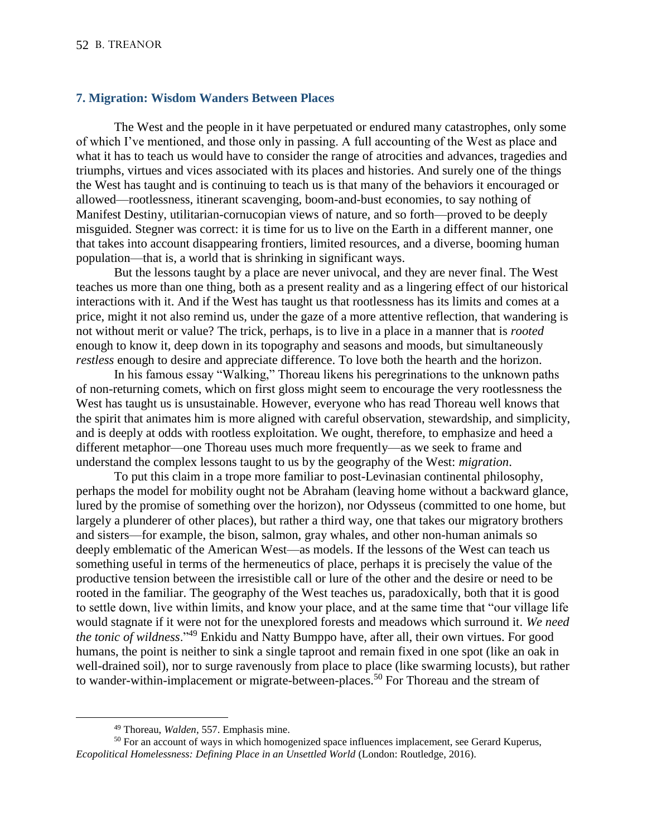### **7. Migration: Wisdom Wanders Between Places**

The West and the people in it have perpetuated or endured many catastrophes, only some of which I've mentioned, and those only in passing. A full accounting of the West as place and what it has to teach us would have to consider the range of atrocities and advances, tragedies and triumphs, virtues and vices associated with its places and histories. And surely one of the things the West has taught and is continuing to teach us is that many of the behaviors it encouraged or allowed—rootlessness, itinerant scavenging, boom-and-bust economies, to say nothing of Manifest Destiny, utilitarian-cornucopian views of nature, and so forth—proved to be deeply misguided. Stegner was correct: it is time for us to live on the Earth in a different manner, one that takes into account disappearing frontiers, limited resources, and a diverse, booming human population—that is, a world that is shrinking in significant ways.

But the lessons taught by a place are never univocal, and they are never final. The West teaches us more than one thing, both as a present reality and as a lingering effect of our historical interactions with it. And if the West has taught us that rootlessness has its limits and comes at a price, might it not also remind us, under the gaze of a more attentive reflection, that wandering is not without merit or value? The trick, perhaps, is to live in a place in a manner that is *rooted* enough to know it, deep down in its topography and seasons and moods, but simultaneously *restless* enough to desire and appreciate difference. To love both the hearth and the horizon.

In his famous essay "Walking," Thoreau likens his peregrinations to the unknown paths of non-returning comets, which on first gloss might seem to encourage the very rootlessness the West has taught us is unsustainable. However, everyone who has read Thoreau well knows that the spirit that animates him is more aligned with careful observation, stewardship, and simplicity, and is deeply at odds with rootless exploitation. We ought, therefore, to emphasize and heed a different metaphor—one Thoreau uses much more frequently—as we seek to frame and understand the complex lessons taught to us by the geography of the West: *migration*.

To put this claim in a trope more familiar to post-Levinasian continental philosophy, perhaps the model for mobility ought not be Abraham (leaving home without a backward glance, lured by the promise of something over the horizon), nor Odysseus (committed to one home, but largely a plunderer of other places), but rather a third way, one that takes our migratory brothers and sisters—for example, the bison, salmon, gray whales, and other non-human animals so deeply emblematic of the American West—as models. If the lessons of the West can teach us something useful in terms of the hermeneutics of place, perhaps it is precisely the value of the productive tension between the irresistible call or lure of the other and the desire or need to be rooted in the familiar. The geography of the West teaches us, paradoxically, both that it is good to settle down, live within limits, and know your place, and at the same time that "our village life would stagnate if it were not for the unexplored forests and meadows which surround it. *We need the tonic of wildness*."<sup>49</sup> Enkidu and Natty Bumppo have, after all, their own virtues. For good humans, the point is neither to sink a single taproot and remain fixed in one spot (like an oak in well-drained soil), nor to surge ravenously from place to place (like swarming locusts), but rather to wander-within-implacement or migrate-between-places.<sup>50</sup> For Thoreau and the stream of

<sup>49</sup> Thoreau, *Walden*, 557. Emphasis mine.

<sup>&</sup>lt;sup>50</sup> For an account of ways in which homogenized space influences implacement, see Gerard Kuperus, *Ecopolitical Homelessness: Defining Place in an Unsettled World* (London: Routledge, 2016).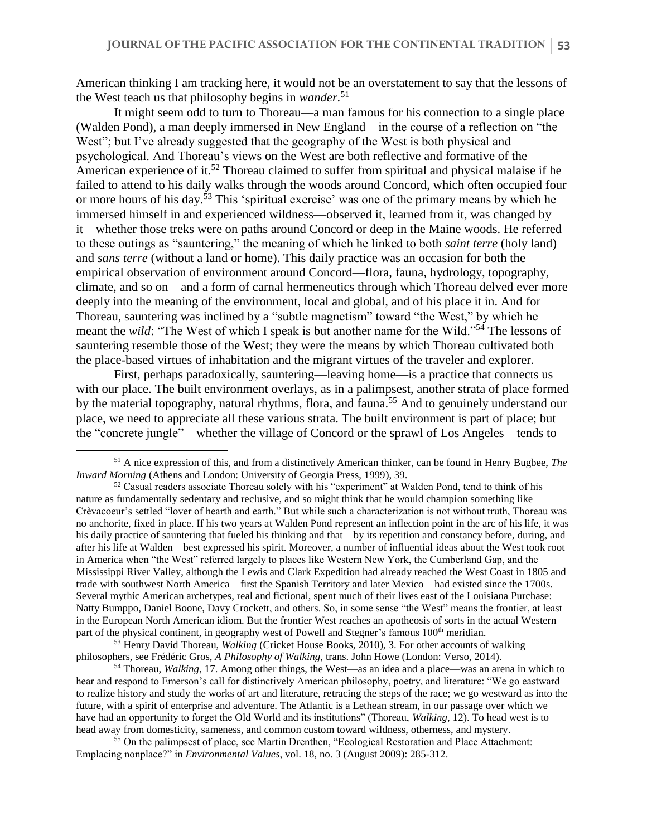American thinking I am tracking here, it would not be an overstatement to say that the lessons of the West teach us that philosophy begins in *wander.* 51

It might seem odd to turn to Thoreau—a man famous for his connection to a single place (Walden Pond), a man deeply immersed in New England—in the course of a reflection on "the West"; but I've already suggested that the geography of the West is both physical and psychological. And Thoreau's views on the West are both reflective and formative of the American experience of it.<sup>52</sup> Thoreau claimed to suffer from spiritual and physical malaise if he failed to attend to his daily walks through the woods around Concord, which often occupied four or more hours of his day.<sup>53</sup> This 'spiritual exercise' was one of the primary means by which he immersed himself in and experienced wildness—observed it, learned from it, was changed by it—whether those treks were on paths around Concord or deep in the Maine woods. He referred to these outings as "sauntering," the meaning of which he linked to both *saint terre* (holy land) and *sans terre* (without a land or home). This daily practice was an occasion for both the empirical observation of environment around Concord—flora, fauna, hydrology, topography, climate, and so on—and a form of carnal hermeneutics through which Thoreau delved ever more deeply into the meaning of the environment, local and global, and of his place it in. And for Thoreau, sauntering was inclined by a "subtle magnetism" toward "the West," by which he meant the *wild*: "The West of which I speak is but another name for the Wild."<sup>54</sup> The lessons of sauntering resemble those of the West; they were the means by which Thoreau cultivated both the place-based virtues of inhabitation and the migrant virtues of the traveler and explorer.

First, perhaps paradoxically, sauntering—leaving home—is a practice that connects us with our place. The built environment overlays, as in a palimpsest, another strata of place formed by the material topography, natural rhythms, flora, and fauna.<sup>55</sup> And to genuinely understand our place, we need to appreciate all these various strata. The built environment is part of place; but the "concrete jungle"—whether the village of Concord or the sprawl of Los Angeles—tends to

<sup>51</sup> A nice expression of this, and from a distinctively American thinker, can be found in Henry Bugbee, *The Inward Morning* (Athens and London: University of Georgia Press, 1999), 39.

 $52$  Casual readers associate Thoreau solely with his "experiment" at Walden Pond, tend to think of his nature as fundamentally sedentary and reclusive, and so might think that he would champion something like Crèvacoeur's settled "lover of hearth and earth." But while such a characterization is not without truth, Thoreau was no anchorite, fixed in place. If his two years at Walden Pond represent an inflection point in the arc of his life, it was his daily practice of sauntering that fueled his thinking and that—by its repetition and constancy before, during, and after his life at Walden—best expressed his spirit. Moreover, a number of influential ideas about the West took root in America when "the West" referred largely to places like Western New York, the Cumberland Gap, and the Mississippi River Valley, although the Lewis and Clark Expedition had already reached the West Coast in 1805 and trade with southwest North America—first the Spanish Territory and later Mexico—had existed since the 1700s. Several mythic American archetypes, real and fictional, spent much of their lives east of the Louisiana Purchase: Natty Bumppo, Daniel Boone, Davy Crockett, and others. So, in some sense "the West" means the frontier, at least in the European North American idiom. But the frontier West reaches an apotheosis of sorts in the actual Western part of the physical continent, in geography west of Powell and Stegner's famous 100<sup>th</sup> meridian.

<sup>53</sup> Henry David Thoreau, *Walking* (Cricket House Books, 2010), 3. For other accounts of walking philosophers, see Frédéric Gros, *A Philosophy of Walking*, trans. John Howe (London: Verso, 2014).

<sup>54</sup> Thoreau, *Walking*, 17. Among other things, the West—as an idea and a place—was an arena in which to hear and respond to Emerson's call for distinctively American philosophy, poetry, and literature: "We go eastward to realize history and study the works of art and literature, retracing the steps of the race; we go westward as into the future, with a spirit of enterprise and adventure. The Atlantic is a Lethean stream, in our passage over which we have had an opportunity to forget the Old World and its institutions" (Thoreau, *Walking*, 12). To head west is to head away from domesticity, sameness, and common custom toward wildness, otherness, and mystery.

<sup>55</sup> On the palimpsest of place, see Martin Drenthen, "Ecological Restoration and Place Attachment: Emplacing nonplace?" in *Environmental Values*, vol. 18, no. 3 (August 2009): 285-312.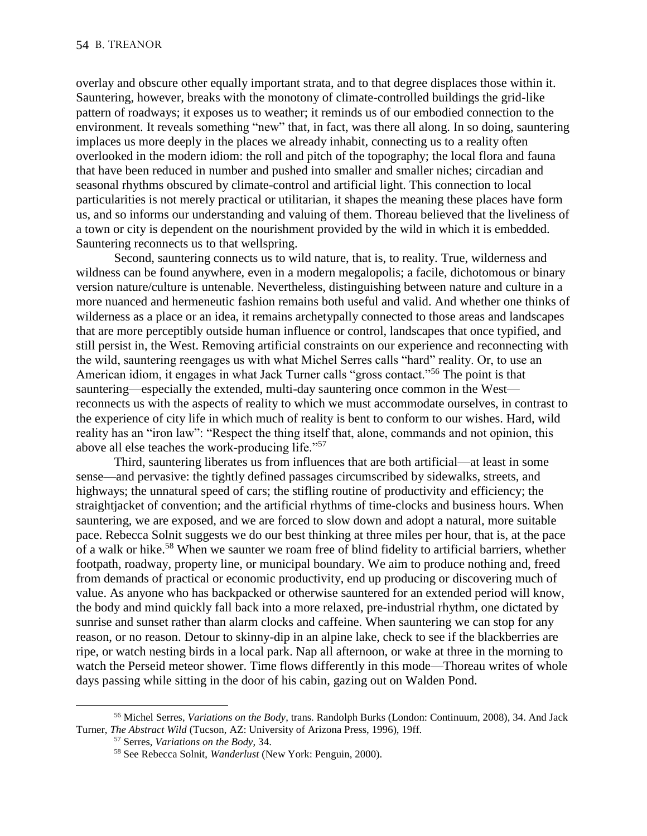overlay and obscure other equally important strata, and to that degree displaces those within it. Sauntering, however, breaks with the monotony of climate-controlled buildings the grid-like pattern of roadways; it exposes us to weather; it reminds us of our embodied connection to the environment. It reveals something "new" that, in fact, was there all along. In so doing, sauntering implaces us more deeply in the places we already inhabit, connecting us to a reality often overlooked in the modern idiom: the roll and pitch of the topography; the local flora and fauna that have been reduced in number and pushed into smaller and smaller niches; circadian and seasonal rhythms obscured by climate-control and artificial light. This connection to local particularities is not merely practical or utilitarian, it shapes the meaning these places have form us, and so informs our understanding and valuing of them. Thoreau believed that the liveliness of a town or city is dependent on the nourishment provided by the wild in which it is embedded. Sauntering reconnects us to that wellspring.

Second, sauntering connects us to wild nature, that is, to reality. True, wilderness and wildness can be found anywhere, even in a modern megalopolis; a facile, dichotomous or binary version nature/culture is untenable. Nevertheless, distinguishing between nature and culture in a more nuanced and hermeneutic fashion remains both useful and valid. And whether one thinks of wilderness as a place or an idea, it remains archetypally connected to those areas and landscapes that are more perceptibly outside human influence or control, landscapes that once typified, and still persist in, the West. Removing artificial constraints on our experience and reconnecting with the wild, sauntering reengages us with what Michel Serres calls "hard" reality. Or, to use an American idiom, it engages in what Jack Turner calls "gross contact."<sup>56</sup> The point is that sauntering—especially the extended, multi-day sauntering once common in the West reconnects us with the aspects of reality to which we must accommodate ourselves, in contrast to the experience of city life in which much of reality is bent to conform to our wishes. Hard, wild reality has an "iron law": "Respect the thing itself that, alone, commands and not opinion, this above all else teaches the work-producing life."<sup>57</sup>

Third, sauntering liberates us from influences that are both artificial—at least in some sense—and pervasive: the tightly defined passages circumscribed by sidewalks, streets, and highways; the unnatural speed of cars; the stifling routine of productivity and efficiency; the straightjacket of convention; and the artificial rhythms of time-clocks and business hours. When sauntering, we are exposed, and we are forced to slow down and adopt a natural, more suitable pace. Rebecca Solnit suggests we do our best thinking at three miles per hour, that is, at the pace of a walk or hike.<sup>58</sup> When we saunter we roam free of blind fidelity to artificial barriers, whether footpath, roadway, property line, or municipal boundary. We aim to produce nothing and, freed from demands of practical or economic productivity, end up producing or discovering much of value. As anyone who has backpacked or otherwise sauntered for an extended period will know, the body and mind quickly fall back into a more relaxed, pre-industrial rhythm, one dictated by sunrise and sunset rather than alarm clocks and caffeine. When sauntering we can stop for any reason, or no reason. Detour to skinny-dip in an alpine lake, check to see if the blackberries are ripe, or watch nesting birds in a local park. Nap all afternoon, or wake at three in the morning to watch the Perseid meteor shower. Time flows differently in this mode—Thoreau writes of whole days passing while sitting in the door of his cabin, gazing out on Walden Pond.

<sup>56</sup> Michel Serres, *Variations on the Body*, trans. Randolph Burks (London: Continuum, 2008), 34. And Jack Turner, *The Abstract Wild* (Tucson, AZ: University of Arizona Press, 1996), 19ff.

<sup>57</sup> Serres, *Variations on the Body*, 34.

<sup>58</sup> See Rebecca Solnit, *Wanderlust* (New York: Penguin, 2000).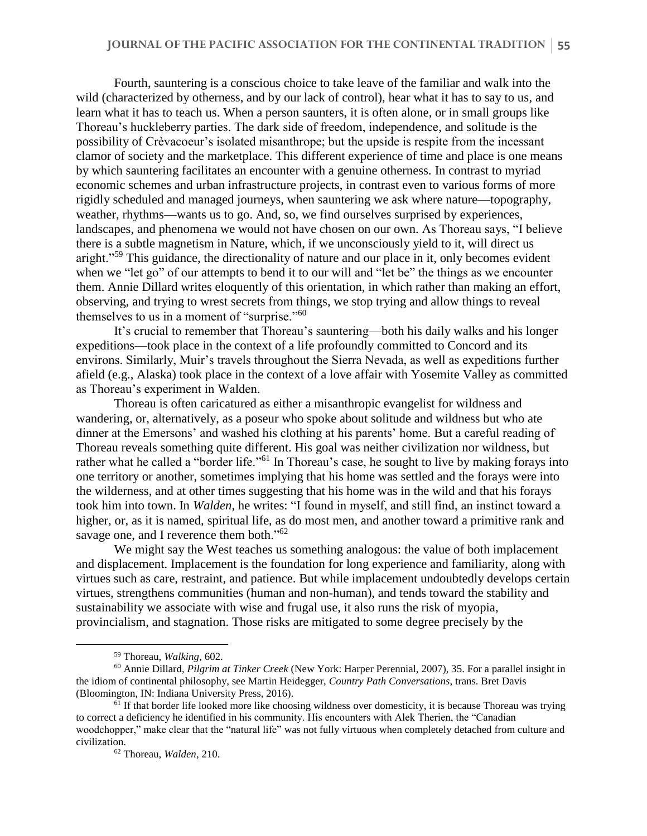Fourth, sauntering is a conscious choice to take leave of the familiar and walk into the wild (characterized by otherness, and by our lack of control), hear what it has to say to us, and learn what it has to teach us. When a person saunters, it is often alone, or in small groups like Thoreau's huckleberry parties. The dark side of freedom, independence, and solitude is the possibility of Crèvacoeur's isolated misanthrope; but the upside is respite from the incessant clamor of society and the marketplace. This different experience of time and place is one means by which sauntering facilitates an encounter with a genuine otherness. In contrast to myriad economic schemes and urban infrastructure projects, in contrast even to various forms of more rigidly scheduled and managed journeys, when sauntering we ask where nature—topography, weather, rhythms—wants us to go. And, so, we find ourselves surprised by experiences, landscapes, and phenomena we would not have chosen on our own. As Thoreau says, "I believe there is a subtle magnetism in Nature, which, if we unconsciously yield to it, will direct us aright."<sup>59</sup> This guidance, the directionality of nature and our place in it, only becomes evident when we "let go" of our attempts to bend it to our will and "let be" the things as we encounter them. Annie Dillard writes eloquently of this orientation, in which rather than making an effort, observing, and trying to wrest secrets from things, we stop trying and allow things to reveal themselves to us in a moment of "surprise."<sup>60</sup>

It's crucial to remember that Thoreau's sauntering—both his daily walks and his longer expeditions—took place in the context of a life profoundly committed to Concord and its environs. Similarly, Muir's travels throughout the Sierra Nevada, as well as expeditions further afield (e.g., Alaska) took place in the context of a love affair with Yosemite Valley as committed as Thoreau's experiment in Walden.

Thoreau is often caricatured as either a misanthropic evangelist for wildness and wandering, or, alternatively, as a poseur who spoke about solitude and wildness but who ate dinner at the Emersons' and washed his clothing at his parents' home. But a careful reading of Thoreau reveals something quite different. His goal was neither civilization nor wildness, but rather what he called a "border life."<sup>61</sup> In Thoreau's case, he sought to live by making forays into one territory or another, sometimes implying that his home was settled and the forays were into the wilderness, and at other times suggesting that his home was in the wild and that his forays took him into town. In *Walden*, he writes: "I found in myself, and still find, an instinct toward a higher, or, as it is named, spiritual life, as do most men, and another toward a primitive rank and savage one, and I reverence them both."<sup>62</sup>

We might say the West teaches us something analogous: the value of both implacement and displacement. Implacement is the foundation for long experience and familiarity, along with virtues such as care, restraint, and patience. But while implacement undoubtedly develops certain virtues, strengthens communities (human and non-human), and tends toward the stability and sustainability we associate with wise and frugal use, it also runs the risk of myopia, provincialism, and stagnation. Those risks are mitigated to some degree precisely by the

<sup>59</sup> Thoreau, *Walking*, 602.

<sup>60</sup> Annie Dillard, *Pilgrim at Tinker Creek* (New York: Harper Perennial, 2007), 35. For a parallel insight in the idiom of continental philosophy, see Martin Heidegger, *Country Path Conversations*, trans. Bret Davis (Bloomington, IN: Indiana University Press, 2016).

 $<sup>61</sup>$  If that border life looked more like choosing wildness over domesticity, it is because Thoreau was trying</sup> to correct a deficiency he identified in his community. His encounters with Alek Therien, the "Canadian woodchopper," make clear that the "natural life" was not fully virtuous when completely detached from culture and civilization.

<sup>62</sup> Thoreau, *Walden*, 210.